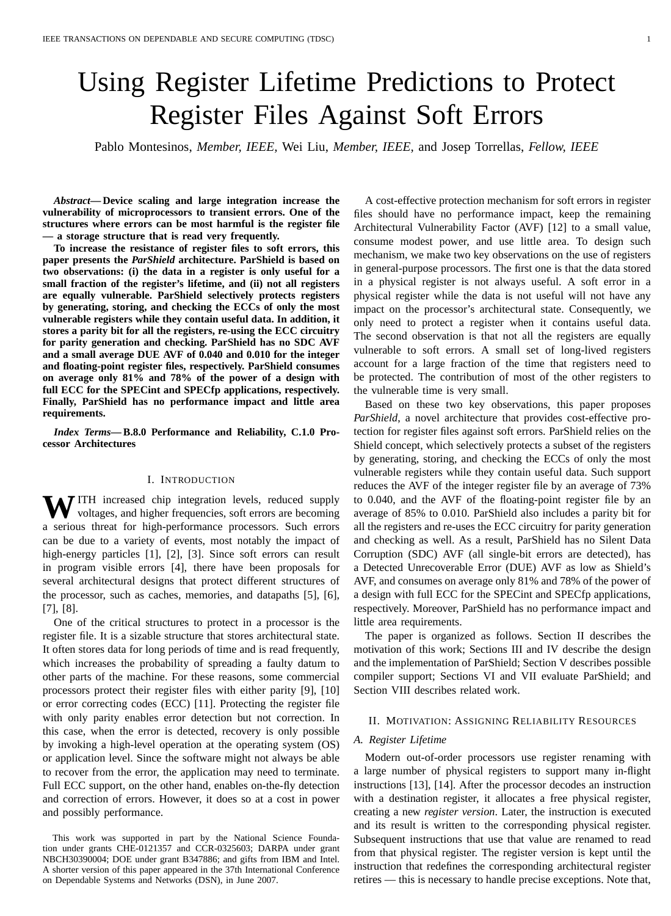# Using Register Lifetime Predictions to Protect Register Files Against Soft Errors

Pablo Montesinos, *Member, IEEE,* Wei Liu, *Member, IEEE,* and Josep Torrellas, *Fellow, IEEE*

*Abstract***— Device scaling and large integration increase the vulnerability of microprocessors to transient errors. One of the structures where errors can be most harmful is the register file — a storage structure that is read very frequently.**

**To increase the resistance of register files to soft errors, this paper presents the** *ParShield* **architecture. ParShield is based on two observations: (i) the data in a register is only useful for a small fraction of the register's lifetime, and (ii) not all registers are equally vulnerable. ParShield selectively protects registers by generating, storing, and checking the ECCs of only the most vulnerable registers while they contain useful data. In addition, it stores a parity bit for all the registers, re-using the ECC circuitry for parity generation and checking. ParShield has no SDC AVF and a small average DUE AVF of 0.040 and 0.010 for the integer and floating-point register files, respectively. ParShield consumes on average only 81% and 78% of the power of a design with full ECC for the SPECint and SPECfp applications, respectively. Finally, ParShield has no performance impact and little area requirements.**

*Index Terms***— B.8.0 Performance and Reliability, C.1.0 Processor Architectures**

# I. INTRODUCTION

WITH increased chip integration levels, reduced supply voltages, and higher frequencies, soft errors are becoming a serious threat for high-performance processors. Such errors can be due to a variety of events, most notably the impact of high-energy particles [1], [2], [3]. Since soft errors can result in program visible errors [4], there have been proposals for several architectural designs that protect different structures of the processor, such as caches, memories, and datapaths [5], [6], [7], [8].

One of the critical structures to protect in a processor is the register file. It is a sizable structure that stores architectural state. It often stores data for long periods of time and is read frequently, which increases the probability of spreading a faulty datum to other parts of the machine. For these reasons, some commercial processors protect their register files with either parity [9], [10] or error correcting codes (ECC) [11]. Protecting the register file with only parity enables error detection but not correction. In this case, when the error is detected, recovery is only possible by invoking a high-level operation at the operating system (OS) or application level. Since the software might not always be able to recover from the error, the application may need to terminate. Full ECC support, on the other hand, enables on-the-fly detection and correction of errors. However, it does so at a cost in power and possibly performance.

A cost-effective protection mechanism for soft errors in register files should have no performance impact, keep the remaining Architectural Vulnerability Factor (AVF) [12] to a small value, consume modest power, and use little area. To design such mechanism, we make two key observations on the use of registers in general-purpose processors. The first one is that the data stored in a physical register is not always useful. A soft error in a physical register while the data is not useful will not have any impact on the processor's architectural state. Consequently, we only need to protect a register when it contains useful data. The second observation is that not all the registers are equally vulnerable to soft errors. A small set of long-lived registers account for a large fraction of the time that registers need to be protected. The contribution of most of the other registers to the vulnerable time is very small.

Based on these two key observations, this paper proposes *ParShield*, a novel architecture that provides cost-effective protection for register files against soft errors. ParShield relies on the Shield concept, which selectively protects a subset of the registers by generating, storing, and checking the ECCs of only the most vulnerable registers while they contain useful data. Such support reduces the AVF of the integer register file by an average of 73% to 0.040, and the AVF of the floating-point register file by an average of 85% to 0.010. ParShield also includes a parity bit for all the registers and re-uses the ECC circuitry for parity generation and checking as well. As a result, ParShield has no Silent Data Corruption (SDC) AVF (all single-bit errors are detected), has a Detected Unrecoverable Error (DUE) AVF as low as Shield's AVF, and consumes on average only 81% and 78% of the power of a design with full ECC for the SPECint and SPECfp applications, respectively. Moreover, ParShield has no performance impact and little area requirements.

The paper is organized as follows. Section II describes the motivation of this work; Sections III and IV describe the design and the implementation of ParShield; Section V describes possible compiler support; Sections VI and VII evaluate ParShield; and Section VIII describes related work.

# II. MOTIVATION: ASSIGNING RELIABILITY RESOURCES

# *A. Register Lifetime*

Modern out-of-order processors use register renaming with a large number of physical registers to support many in-flight instructions [13], [14]. After the processor decodes an instruction with a destination register, it allocates a free physical register, creating a new *register version*. Later, the instruction is executed and its result is written to the corresponding physical register. Subsequent instructions that use that value are renamed to read from that physical register. The register version is kept until the instruction that redefines the corresponding architectural register retires — this is necessary to handle precise exceptions. Note that,

This work was supported in part by the National Science Foundation under grants CHE-0121357 and CCR-0325603; DARPA under grant NBCH30390004; DOE under grant B347886; and gifts from IBM and Intel. A shorter version of this paper appeared in the 37th International Conference on Dependable Systems and Networks (DSN), in June 2007.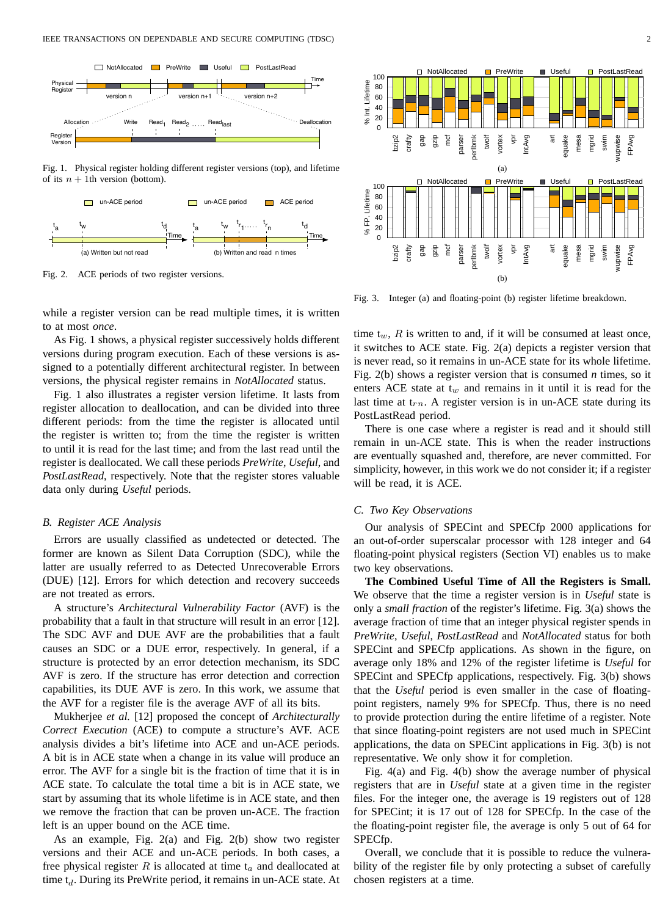

Fig. 1. Physical register holding different register versions (top), and lifetime of its  $n + 1$ th version (bottom).



Fig. 2. ACE periods of two register versions.



As Fig. 1 shows, a physical register successively holds different versions during program execution. Each of these versions is assigned to a potentially different architectural register. In between versions, the physical register remains in *NotAllocated* status.

Fig. 1 also illustrates a register version lifetime. It lasts from register allocation to deallocation, and can be divided into three different periods: from the time the register is allocated until the register is written to; from the time the register is written to until it is read for the last time; and from the last read until the register is deallocated. We call these periods *PreWrite*, *Useful*, and *PostLastRead*, respectively. Note that the register stores valuable data only during *Useful* periods.

# *B. Register ACE Analysis*

Errors are usually classified as undetected or detected. The former are known as Silent Data Corruption (SDC), while the latter are usually referred to as Detected Unrecoverable Errors (DUE) [12]. Errors for which detection and recovery succeeds are not treated as errors.

A structure's *Architectural Vulnerability Factor* (AVF) is the probability that a fault in that structure will result in an error [12]. The SDC AVF and DUE AVF are the probabilities that a fault causes an SDC or a DUE error, respectively. In general, if a structure is protected by an error detection mechanism, its SDC AVF is zero. If the structure has error detection and correction capabilities, its DUE AVF is zero. In this work, we assume that the AVF for a register file is the average AVF of all its bits.

Mukherjee *et al.* [12] proposed the concept of *Architecturally Correct Execution* (ACE) to compute a structure's AVF. ACE analysis divides a bit's lifetime into ACE and un-ACE periods. A bit is in ACE state when a change in its value will produce an error. The AVF for a single bit is the fraction of time that it is in ACE state. To calculate the total time a bit is in ACE state, we start by assuming that its whole lifetime is in ACE state, and then we remove the fraction that can be proven un-ACE. The fraction left is an upper bound on the ACE time. 25.  $\frac{1}{2}$   $\frac{1}{2}$   $\frac{1}{3}$   $\frac{1}{2}$   $\frac{1}{3}$   $\frac{1}{4}$   $\frac{1}{2}$   $\frac{1}{3}$   $\frac{1}{6}$   $\frac{1}{6}$   $\frac{1}{6}$   $\frac{1}{6}$   $\frac{1}{6}$   $\frac{1}{6}$   $\frac{1}{6}$   $\frac{1}{6}$   $\frac{1}{6}$   $\frac{1}{6}$   $\frac{1}{6}$   $\frac{1}{6}$   $\frac{1}{6}$   $\frac{1$ 

As an example, Fig. 2(a) and Fig. 2(b) show two register versions and their ACE and un-ACE periods. In both cases, a free physical register  $R$  is allocated at time  $t_a$  and deallocated at



Fig. 3. Integer (a) and floating-point (b) register lifetime breakdown.

time  $t_w$ , R is written to and, if it will be consumed at least once, it switches to ACE state. Fig. 2(a) depicts a register version that is never read, so it remains in un-ACE state for its whole lifetime. Fig. 2(b) shows a register version that is consumed *n* times, so it enters ACE state at  $t_w$  and remains in it until it is read for the last time at  $t_{rn}$ . A register version is in un-ACE state during its PostLastRead period.

There is one case where a register is read and it should still remain in un-ACE state. This is when the reader instructions are eventually squashed and, therefore, are never committed. For simplicity, however, in this work we do not consider it; if a register will be read, it is ACE.

# *C. Two Key Observations*

Our analysis of SPECint and SPECfp 2000 applications for an out-of-order superscalar processor with 128 integer and 64 floating-point physical registers (Section VI) enables us to make two key observations.

**The Combined Useful Time of All the Registers is Small.** We observe that the time a register version is in *Useful* state is only a *small fraction* of the register's lifetime. Fig. 3(a) shows the average fraction of time that an integer physical register spends in *PreWrite*, *Useful*, *PostLastRead* and *NotAllocated* status for both SPECint and SPECfp applications. As shown in the figure, on average only 18% and 12% of the register lifetime is *Useful* for SPECint and SPECfp applications, respectively. Fig. 3(b) shows that the *Useful* period is even smaller in the case of floatingpoint registers, namely 9% for SPECfp. Thus, there is no need to provide protection during the entire lifetime of a register. Note that since floating-point registers are not used much in SPECint applications, the data on SPECint applications in Fig. 3(b) is not representative. We only show it for completion.

Fig. 4(a) and Fig. 4(b) show the average number of physical registers that are in *Useful* state at a given time in the register files. For the integer one, the average is 19 registers out of 128 for SPECint; it is 17 out of 128 for SPECfp. In the case of the the floating-point register file, the average is only 5 out of 64 for SPECfp.

Overall, we conclude that it is possible to reduce the vulnerability of the register file by only protecting a subset of carefully chosen registers at a time.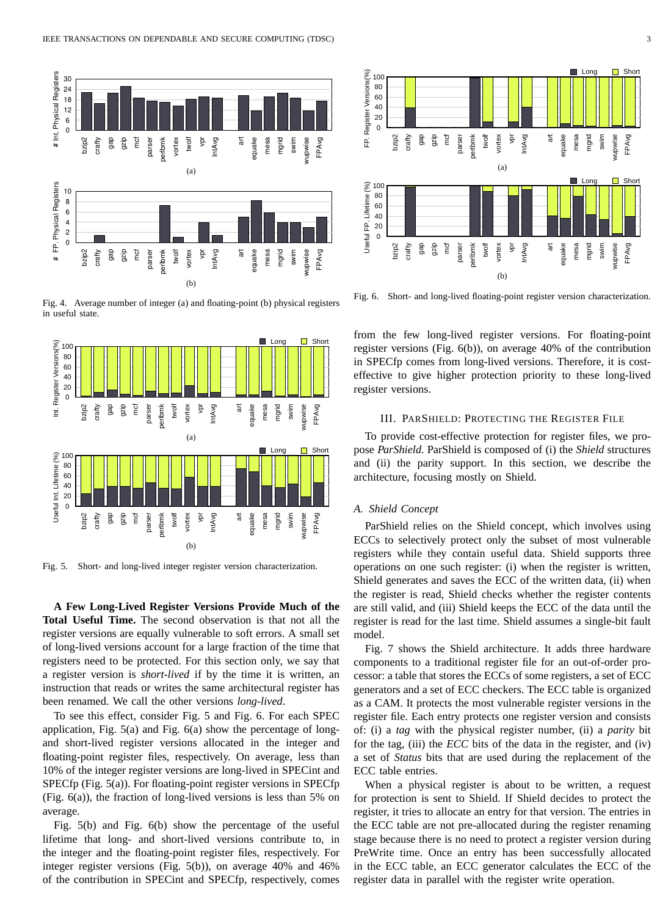

Fig. 4. Average number of integer (a) and floating-point (b) physical registers in useful state.



Fig. 5. Short- and long-lived integer register version characterization.

**A Few Long-Lived Register Versions Provide Much of the Total Useful Time.** The second observation is that not all the register versions are equally vulnerable to soft errors. A small set of long-lived versions account for a large fraction of the time that registers need to be protected. For this section only, we say that a register version is *short-lived* if by the time it is written, an instruction that reads or writes the same architectural register has been renamed. We call the other versions *long-lived*.

To see this effect, consider Fig. 5 and Fig. 6. For each SPEC application, Fig. 5(a) and Fig. 6(a) show the percentage of longand short-lived register versions allocated in the integer and floating-point register files, respectively. On average, less than 10% of the integer register versions are long-lived in SPECint and SPECfp (Fig. 5(a)). For floating-point register versions in SPECfp (Fig. 6(a)), the fraction of long-lived versions is less than 5% on average.

Fig. 5(b) and Fig. 6(b) show the percentage of the useful lifetime that long- and short-lived versions contribute to, in the integer and the floating-point register files, respectively. For integer register versions (Fig. 5(b)), on average 40% and 46%



Fig. 6. Short- and long-lived floating-point register version characterization.

from the few long-lived register versions. For floating-point register versions (Fig. 6(b)), on average 40% of the contribution in SPECfp comes from long-lived versions. Therefore, it is costeffective to give higher protection priority to these long-lived register versions.

# III. PARSHIELD: PROTECTING THE REGISTER FILE

To provide cost-effective protection for register files, we propose *ParShield*. ParShield is composed of (i) the *Shield* structures and (ii) the parity support. In this section, we describe the architecture, focusing mostly on Shield.

# *A. Shield Concept*

ParShield relies on the Shield concept, which involves using ECCs to selectively protect only the subset of most vulnerable registers while they contain useful data. Shield supports three operations on one such register: (i) when the register is written, Shield generates and saves the ECC of the written data, (ii) when the register is read, Shield checks whether the register contents are still valid, and (iii) Shield keeps the ECC of the data until the register is read for the last time. Shield assumes a single-bit fault model.

Fig. 7 shows the Shield architecture. It adds three hardware components to a traditional register file for an out-of-order processor: a table that stores the ECCs of some registers, a set of ECC generators and a set of ECC checkers. The ECC table is organized as a CAM. It protects the most vulnerable register versions in the register file. Each entry protects one register version and consists of: (i) a *tag* with the physical register number, (ii) a *parity* bit for the tag, (iii) the *ECC* bits of the data in the register, and (iv) a set of *Status* bits that are used during the replacement of the ECC table entries.

When a physical register is about to be written, a request for protection is sent to Shield. If Shield decides to protect the register, it tries to allocate an entry for that version. The entries in the ECC table are not pre-allocated during the register renaming stage because there is no need to protect a register version during PreWrite time. Once an entry has been successfully allocated in the ECC table, an ECC generator calculates the ECC of the register data in parallel with the register write operation.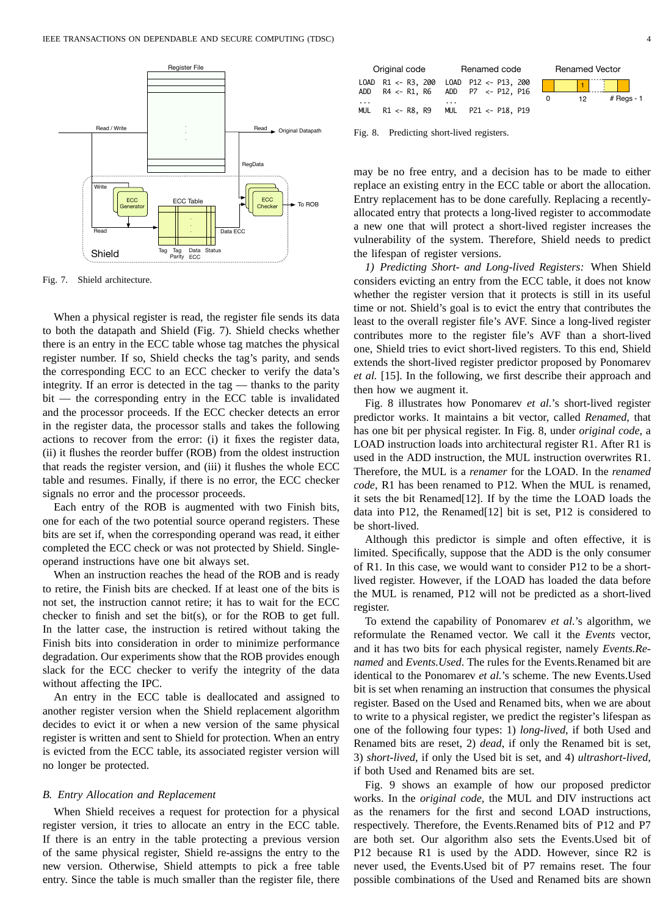

Fig. 7. Shield architecture.

When a physical register is read, the register file sends its data to both the datapath and Shield (Fig. 7). Shield checks whether there is an entry in the ECC table whose tag matches the physical register number. If so, Shield checks the tag's parity, and sends the corresponding ECC to an ECC checker to verify the data's integrity. If an error is detected in the tag — thanks to the parity bit — the corresponding entry in the ECC table is invalidated and the processor proceeds. If the ECC checker detects an error in the register data, the processor stalls and takes the following actions to recover from the error: (i) it fixes the register data, (ii) it flushes the reorder buffer (ROB) from the oldest instruction that reads the register version, and (iii) it flushes the whole ECC table and resumes. Finally, if there is no error, the ECC checker signals no error and the processor proceeds.

Each entry of the ROB is augmented with two Finish bits, one for each of the two potential source operand registers. These bits are set if, when the corresponding operand was read, it either completed the ECC check or was not protected by Shield. Singleoperand instructions have one bit always set.

When an instruction reaches the head of the ROB and is ready to retire, the Finish bits are checked. If at least one of the bits is not set, the instruction cannot retire; it has to wait for the ECC checker to finish and set the bit(s), or for the ROB to get full. In the latter case, the instruction is retired without taking the Finish bits into consideration in order to minimize performance degradation. Our experiments show that the ROB provides enough slack for the ECC checker to verify the integrity of the data without affecting the IPC.

An entry in the ECC table is deallocated and assigned to another register version when the Shield replacement algorithm decides to evict it or when a new version of the same physical register is written and sent to Shield for protection. When an entry is evicted from the ECC table, its associated register version will no longer be protected.

#### *B. Entry Allocation and Replacement*

When Shield receives a request for protection for a physical register version, it tries to allocate an entry in the ECC table. If there is an entry in the table protecting a previous version of the same physical register, Shield re-assigns the entry to the new version. Otherwise, Shield attempts to pick a free table entry. Since the table is much smaller than the register file, there



Fig. 8. Predicting short-lived registers.

may be no free entry, and a decision has to be made to either replace an existing entry in the ECC table or abort the allocation. Entry replacement has to be done carefully. Replacing a recentlyallocated entry that protects a long-lived register to accommodate a new one that will protect a short-lived register increases the vulnerability of the system. Therefore, Shield needs to predict the lifespan of register versions.

*1) Predicting Short- and Long-lived Registers:* When Shield considers evicting an entry from the ECC table, it does not know whether the register version that it protects is still in its useful time or not. Shield's goal is to evict the entry that contributes the least to the overall register file's AVF. Since a long-lived register contributes more to the register file's AVF than a short-lived one, Shield tries to evict short-lived registers. To this end, Shield extends the short-lived register predictor proposed by Ponomarev *et al.* [15]. In the following, we first describe their approach and then how we augment it.

Fig. 8 illustrates how Ponomarev *et al.*'s short-lived register predictor works. It maintains a bit vector, called *Renamed*, that has one bit per physical register. In Fig. 8, under *original code*, a LOAD instruction loads into architectural register R1. After R1 is used in the ADD instruction, the MUL instruction overwrites R1. Therefore, the MUL is a *renamer* for the LOAD. In the *renamed code*, R1 has been renamed to P12. When the MUL is renamed, it sets the bit Renamed[12]. If by the time the LOAD loads the data into P12, the Renamed[12] bit is set, P12 is considered to be short-lived.

Although this predictor is simple and often effective, it is limited. Specifically, suppose that the ADD is the only consumer of R1. In this case, we would want to consider P12 to be a shortlived register. However, if the LOAD has loaded the data before the MUL is renamed, P12 will not be predicted as a short-lived register.

To extend the capability of Ponomarev *et al.*'s algorithm, we reformulate the Renamed vector. We call it the *Events* vector, and it has two bits for each physical register, namely *Events.Renamed* and *Events.Used*. The rules for the Events.Renamed bit are identical to the Ponomarev *et al.*'s scheme. The new Events.Used bit is set when renaming an instruction that consumes the physical register. Based on the Used and Renamed bits, when we are about to write to a physical register, we predict the register's lifespan as one of the following four types: 1) *long-lived*, if both Used and Renamed bits are reset, 2) *dead*, if only the Renamed bit is set, 3) *short-lived*, if only the Used bit is set, and 4) *ultrashort-lived*, if both Used and Renamed bits are set.

Fig. 9 shows an example of how our proposed predictor works. In the *original code*, the MUL and DIV instructions act as the renamers for the first and second LOAD instructions, respectively. Therefore, the Events.Renamed bits of P12 and P7 are both set. Our algorithm also sets the Events.Used bit of P12 because R1 is used by the ADD. However, since R2 is never used, the Events.Used bit of P7 remains reset. The four possible combinations of the Used and Renamed bits are shown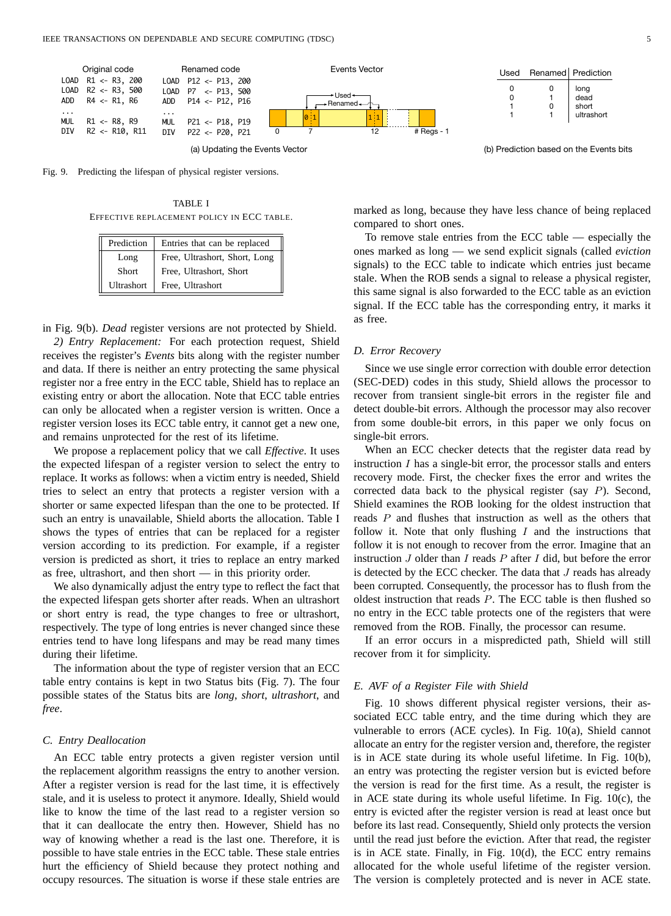

Fig. 9. Predicting the lifespan of physical register versions.

TABLE I EFFECTIVE REPLACEMENT POLICY IN ECC TABLE.

| Prediction   | Entries that can be replaced  |
|--------------|-------------------------------|
| Long         | Free, Ultrashort, Short, Long |
| <b>Short</b> | Free, Ultrashort, Short       |
| Ultrashort   | Free, Ultrashort              |

in Fig. 9(b). *Dead* register versions are not protected by Shield.

*2) Entry Replacement:* For each protection request, Shield receives the register's *Events* bits along with the register number and data. If there is neither an entry protecting the same physical register nor a free entry in the ECC table, Shield has to replace an existing entry or abort the allocation. Note that ECC table entries can only be allocated when a register version is written. Once a register version loses its ECC table entry, it cannot get a new one, and remains unprotected for the rest of its lifetime.

We propose a replacement policy that we call *Effective*. It uses the expected lifespan of a register version to select the entry to replace. It works as follows: when a victim entry is needed, Shield tries to select an entry that protects a register version with a shorter or same expected lifespan than the one to be protected. If such an entry is unavailable, Shield aborts the allocation. Table I shows the types of entries that can be replaced for a register version according to its prediction. For example, if a register version is predicted as short, it tries to replace an entry marked as free, ultrashort, and then short — in this priority order.

We also dynamically adjust the entry type to reflect the fact that the expected lifespan gets shorter after reads. When an ultrashort or short entry is read, the type changes to free or ultrashort, respectively. The type of long entries is never changed since these entries tend to have long lifespans and may be read many times during their lifetime.

The information about the type of register version that an ECC table entry contains is kept in two Status bits (Fig. 7). The four possible states of the Status bits are *long*, *short*, *ultrashort*, and *free*.

# *C. Entry Deallocation*

An ECC table entry protects a given register version until the replacement algorithm reassigns the entry to another version. After a register version is read for the last time, it is effectively stale, and it is useless to protect it anymore. Ideally, Shield would like to know the time of the last read to a register version so that it can deallocate the entry then. However, Shield has no way of knowing whether a read is the last one. Therefore, it is possible to have stale entries in the ECC table. These stale entries hurt the efficiency of Shield because they protect nothing and occupy resources. The situation is worse if these stale entries are

marked as long, because they have less chance of being replaced compared to short ones.

To remove stale entries from the ECC table — especially the ones marked as long — we send explicit signals (called *eviction* signals) to the ECC table to indicate which entries just became stale. When the ROB sends a signal to release a physical register, this same signal is also forwarded to the ECC table as an eviction signal. If the ECC table has the corresponding entry, it marks it as free.

# *D. Error Recovery*

Since we use single error correction with double error detection (SEC-DED) codes in this study, Shield allows the processor to recover from transient single-bit errors in the register file and detect double-bit errors. Although the processor may also recover from some double-bit errors, in this paper we only focus on single-bit errors.

When an ECC checker detects that the register data read by instruction  $I$  has a single-bit error, the processor stalls and enters recovery mode. First, the checker fixes the error and writes the corrected data back to the physical register (say P). Second, Shield examines the ROB looking for the oldest instruction that reads P and flushes that instruction as well as the others that follow it. Note that only flushing  $I$  and the instructions that follow it is not enough to recover from the error. Imagine that an instruction  $J$  older than  $I$  reads  $P$  after  $I$  did, but before the error is detected by the ECC checker. The data that  $J$  reads has already been corrupted. Consequently, the processor has to flush from the oldest instruction that reads P. The ECC table is then flushed so no entry in the ECC table protects one of the registers that were removed from the ROB. Finally, the processor can resume.

If an error occurs in a mispredicted path, Shield will still recover from it for simplicity.

# *E. AVF of a Register File with Shield*

Fig. 10 shows different physical register versions, their associated ECC table entry, and the time during which they are vulnerable to errors (ACE cycles). In Fig. 10(a), Shield cannot allocate an entry for the register version and, therefore, the register is in ACE state during its whole useful lifetime. In Fig. 10(b), an entry was protecting the register version but is evicted before the version is read for the first time. As a result, the register is in ACE state during its whole useful lifetime. In Fig. 10(c), the entry is evicted after the register version is read at least once but before its last read. Consequently, Shield only protects the version until the read just before the eviction. After that read, the register is in ACE state. Finally, in Fig. 10(d), the ECC entry remains allocated for the whole useful lifetime of the register version. The version is completely protected and is never in ACE state.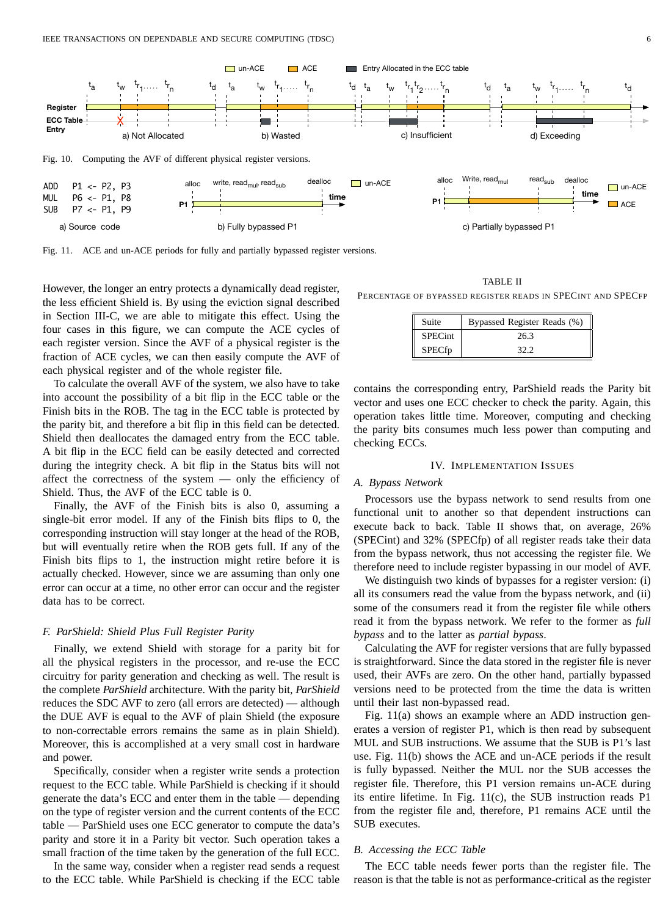

Fig. 11. ACE and un-ACE periods for fully and partially bypassed register versions.

However, the longer an entry protects a dynamically dead register, the less efficient Shield is. By using the eviction signal described in Section III-C, we are able to mitigate this effect. Using the four cases in this figure, we can compute the ACE cycles of each register version. Since the AVF of a physical register is the fraction of ACE cycles, we can then easily compute the AVF of each physical register and of the whole register file.

To calculate the overall AVF of the system, we also have to take into account the possibility of a bit flip in the ECC table or the Finish bits in the ROB. The tag in the ECC table is protected by the parity bit, and therefore a bit flip in this field can be detected. Shield then deallocates the damaged entry from the ECC table. A bit flip in the ECC field can be easily detected and corrected during the integrity check. A bit flip in the Status bits will not affect the correctness of the system — only the efficiency of Shield. Thus, the AVF of the ECC table is 0.

Finally, the AVF of the Finish bits is also 0, assuming a single-bit error model. If any of the Finish bits flips to 0, the corresponding instruction will stay longer at the head of the ROB, but will eventually retire when the ROB gets full. If any of the Finish bits flips to 1, the instruction might retire before it is actually checked. However, since we are assuming than only one error can occur at a time, no other error can occur and the register data has to be correct.

# *F. ParShield: Shield Plus Full Register Parity*

Finally, we extend Shield with storage for a parity bit for all the physical registers in the processor, and re-use the ECC circuitry for parity generation and checking as well. The result is the complete *ParShield* architecture. With the parity bit, *ParShield* reduces the SDC AVF to zero (all errors are detected) — although the DUE AVF is equal to the AVF of plain Shield (the exposure to non-correctable errors remains the same as in plain Shield). Moreover, this is accomplished at a very small cost in hardware and power.

Specifically, consider when a register write sends a protection request to the ECC table. While ParShield is checking if it should generate the data's ECC and enter them in the table — depending on the type of register version and the current contents of the ECC table — ParShield uses one ECC generator to compute the data's parity and store it in a Parity bit vector. Such operation takes a small fraction of the time taken by the generation of the full ECC.

In the same way, consider when a register read sends a request to the ECC table. While ParShield is checking if the ECC table

TABLE II PERCENTAGE OF BYPASSED REGISTER READS IN SPECINT AND SPECFP

| Suite   | Bypassed Register Reads (%) |
|---------|-----------------------------|
| SPECint | 26.3                        |
| SPECfp  | 32 2                        |

contains the corresponding entry, ParShield reads the Parity bit vector and uses one ECC checker to check the parity. Again, this operation takes little time. Moreover, computing and checking the parity bits consumes much less power than computing and checking ECCs.

# IV. IMPLEMENTATION ISSUES

## *A. Bypass Network*

Processors use the bypass network to send results from one functional unit to another so that dependent instructions can execute back to back. Table II shows that, on average, 26% (SPECint) and 32% (SPECfp) of all register reads take their data from the bypass network, thus not accessing the register file. We therefore need to include register bypassing in our model of AVF.

We distinguish two kinds of bypasses for a register version: (i) all its consumers read the value from the bypass network, and (ii) some of the consumers read it from the register file while others read it from the bypass network. We refer to the former as *full bypass* and to the latter as *partial bypass*.

Calculating the AVF for register versions that are fully bypassed is straightforward. Since the data stored in the register file is never used, their AVFs are zero. On the other hand, partially bypassed versions need to be protected from the time the data is written until their last non-bypassed read.

Fig. 11(a) shows an example where an ADD instruction generates a version of register P1, which is then read by subsequent MUL and SUB instructions. We assume that the SUB is P1's last use. Fig. 11(b) shows the ACE and un-ACE periods if the result is fully bypassed. Neither the MUL nor the SUB accesses the register file. Therefore, this P1 version remains un-ACE during its entire lifetime. In Fig. 11(c), the SUB instruction reads P1 from the register file and, therefore, P1 remains ACE until the SUB executes.

#### *B. Accessing the ECC Table*

The ECC table needs fewer ports than the register file. The reason is that the table is not as performance-critical as the register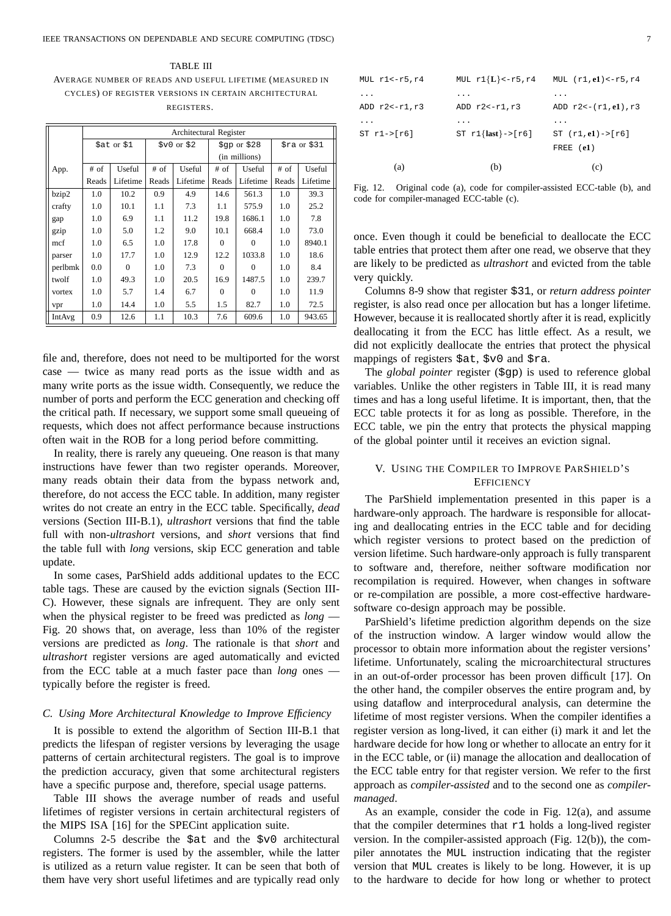#### TABLE III

AVERAGE NUMBER OF READS AND USEFUL LIFETIME (MEASURED IN CYCLES) OF REGISTER VERSIONS IN CERTAIN ARCHITECTURAL REGISTERS.

|         | Architectural Register |          |               |          |                |          |                |          |
|---------|------------------------|----------|---------------|----------|----------------|----------|----------------|----------|
|         | \$at or \$1            |          | $$v0$ or $$2$ |          | $$gp$ or $$28$ |          | $$ra$ or $$31$ |          |
|         |                        |          |               |          | (in millions)  |          |                |          |
| App.    | $#$ of                 | Useful   | $#$ of        | Useful   | # of           | Useful   | $#$ of         | Useful   |
|         | Reads                  | Lifetime | Reads         | Lifetime | Reads          | Lifetime | Reads          | Lifetime |
| bzip2   | 1.0                    | 10.2     | 0.9           | 4.9      | 14.6           | 561.3    | 1.0            | 39.3     |
| crafty  | 1.0                    | 10.1     | 1.1           | 7.3      | 1.1            | 575.9    | 1.0            | 25.2     |
| gap     | 1.0                    | 6.9      | 1.1           | 11.2     | 19.8           | 1686.1   | 1.0            | 7.8      |
| gzip    | 1.0                    | 5.0      | 1.2           | 9.0      | 10.1           | 668.4    | 1.0            | 73.0     |
| mcf     | 1.0                    | 6.5      | 1.0           | 17.8     | $\Omega$       | $\Omega$ | 1.0            | 8940.1   |
| parser  | 1.0                    | 17.7     | 1.0           | 12.9     | 12.2           | 1033.8   | 1.0            | 18.6     |
| perlbmk | 0.0                    | $\Omega$ | 1.0           | 7.3      | $\Omega$       | $\Omega$ | 1.0            | 8.4      |
| twolf   | 1.0                    | 49.3     | 1.0           | 20.5     | 16.9           | 1487.5   | 1.0            | 239.7    |
| vortex  | 1.0                    | 5.7      | 1.4           | 6.7      | $\Omega$       | $\Omega$ | 1.0            | 11.9     |
| vpr     | 1.0                    | 14.4     | 1.0           | 5.5      | 1.5            | 82.7     | 1.0            | 72.5     |
| IntAvg  | 0.9                    | 12.6     | 1.1           | 10.3     | 7.6            | 609.6    | 1.0            | 943.65   |

file and, therefore, does not need to be multiported for the worst case — twice as many read ports as the issue width and as many write ports as the issue width. Consequently, we reduce the number of ports and perform the ECC generation and checking off the critical path. If necessary, we support some small queueing of requests, which does not affect performance because instructions often wait in the ROB for a long period before committing.

In reality, there is rarely any queueing. One reason is that many instructions have fewer than two register operands. Moreover, many reads obtain their data from the bypass network and, therefore, do not access the ECC table. In addition, many register writes do not create an entry in the ECC table. Specifically, *dead* versions (Section III-B.1), *ultrashort* versions that find the table full with non-*ultrashort* versions, and *short* versions that find the table full with *long* versions, skip ECC generation and table update.

In some cases, ParShield adds additional updates to the ECC table tags. These are caused by the eviction signals (Section III-C). However, these signals are infrequent. They are only sent when the physical register to be freed was predicted as *long* — Fig. 20 shows that, on average, less than 10% of the register versions are predicted as *long*. The rationale is that *short* and *ultrashort* register versions are aged automatically and evicted from the ECC table at a much faster pace than *long* ones typically before the register is freed.

# *C. Using More Architectural Knowledge to Improve Efficiency*

It is possible to extend the algorithm of Section III-B.1 that predicts the lifespan of register versions by leveraging the usage patterns of certain architectural registers. The goal is to improve the prediction accuracy, given that some architectural registers have a specific purpose and, therefore, special usage patterns.

Table III shows the average number of reads and useful lifetimes of register versions in certain architectural registers of the MIPS ISA [16] for the SPECint application suite.

Columns 2-5 describe the \$at and the \$v0 architectural registers. The former is used by the assembler, while the latter is utilized as a return value register. It can be seen that both of them have very short useful lifetimes and are typically read only

| (a)                     | (b)                                    | (c)                       |
|-------------------------|----------------------------------------|---------------------------|
|                         |                                        | FREE $(e1)$               |
| $ST r1->r6]$            | $ST r1\{last\}$ ->[r6]                 | $ST (r1, e1)$ ->[r6]      |
|                         | .                                      | .                         |
| $ADD r2 < -r1.r3$       | ADD $r2 < -r1, r3$                     | ADD $r2 < -(r1, e1)$ , r3 |
| $\cdot$ $\cdot$ $\cdot$ | $\cdots$                               | .                         |
| MUL r1<-r5,r4           | MUL $r1\{\textbf{L}\}\text{<-}r5$ , r4 | MUL $(r1, e1) < -r5, r4$  |

Fig. 12. Original code (a), code for compiler-assisted ECC-table (b), and code for compiler-managed ECC-table (c).

once. Even though it could be beneficial to deallocate the ECC table entries that protect them after one read, we observe that they are likely to be predicted as *ultrashort* and evicted from the table very quickly.

Columns 8-9 show that register \$31, or *return address pointer* register, is also read once per allocation but has a longer lifetime. However, because it is reallocated shortly after it is read, explicitly deallocating it from the ECC has little effect. As a result, we did not explicitly deallocate the entries that protect the physical mappings of registers \$at, \$v0 and \$ra.

The *global pointer* register (\$gp) is used to reference global variables. Unlike the other registers in Table III, it is read many times and has a long useful lifetime. It is important, then, that the ECC table protects it for as long as possible. Therefore, in the ECC table, we pin the entry that protects the physical mapping of the global pointer until it receives an eviction signal.

# V. USING THE COMPILER TO IMPROVE PARSHIELD'S **EFFICIENCY**

The ParShield implementation presented in this paper is a hardware-only approach. The hardware is responsible for allocating and deallocating entries in the ECC table and for deciding which register versions to protect based on the prediction of version lifetime. Such hardware-only approach is fully transparent to software and, therefore, neither software modification nor recompilation is required. However, when changes in software or re-compilation are possible, a more cost-effective hardwaresoftware co-design approach may be possible.

ParShield's lifetime prediction algorithm depends on the size of the instruction window. A larger window would allow the processor to obtain more information about the register versions' lifetime. Unfortunately, scaling the microarchitectural structures in an out-of-order processor has been proven difficult [17]. On the other hand, the compiler observes the entire program and, by using dataflow and interprocedural analysis, can determine the lifetime of most register versions. When the compiler identifies a register version as long-lived, it can either (i) mark it and let the hardware decide for how long or whether to allocate an entry for it in the ECC table, or (ii) manage the allocation and deallocation of the ECC table entry for that register version. We refer to the first approach as *compiler-assisted* and to the second one as *compilermanaged*.

As an example, consider the code in Fig. 12(a), and assume that the compiler determines that r1 holds a long-lived register version. In the compiler-assisted approach (Fig. 12(b)), the compiler annotates the MUL instruction indicating that the register version that MUL creates is likely to be long. However, it is up to the hardware to decide for how long or whether to protect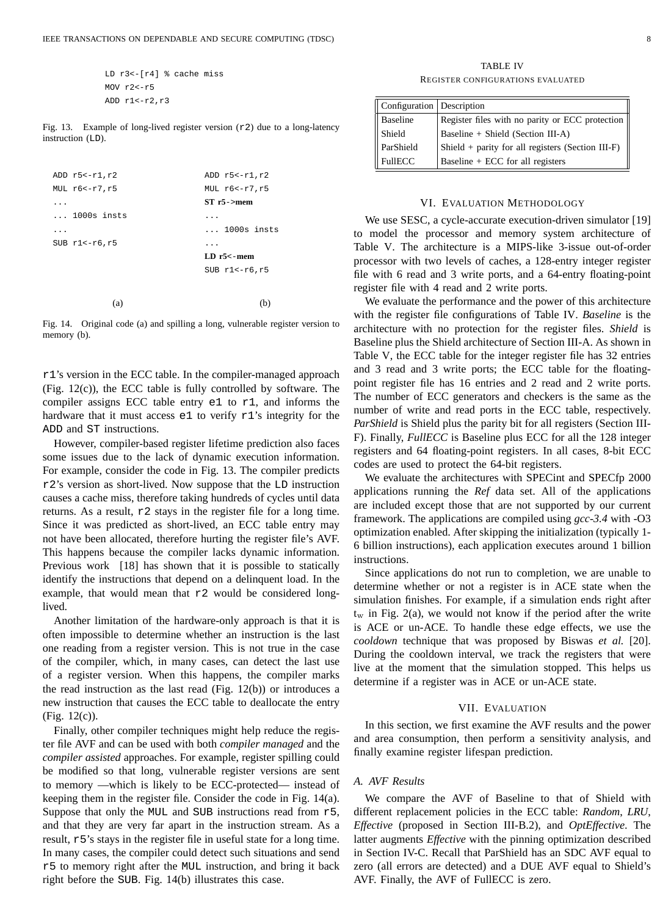```
LD r3<-[r4] % cache miss
MOV r2<-r5
ADD r1<-r2,r3
```
Fig. 13. Example of long-lived register version  $(r2)$  due to a long-latency instruction (LD).

| ADD $r5<-r1, r2$     | $ADD r5 < -r1.r2$         |
|----------------------|---------------------------|
| MUL r6<-r7.r5        | MUL r6<-r7, r5            |
|                      | $ST$ r5 $\rightarrow$ mem |
| $\ldots$ 1000s insts |                           |
|                      | $\ldots$ 1000s insts      |
| SUB $r1<-r6, r5$     |                           |
|                      | LD $r5$ < $-$ mem         |
|                      | SUB $r1<-r6, r5$          |
|                      |                           |
|                      |                           |
| (a)                  | (b                        |

Fig. 14. Original code (a) and spilling a long, vulnerable register version to memory (b).

r1's version in the ECC table. In the compiler-managed approach (Fig. 12(c)), the ECC table is fully controlled by software. The compiler assigns ECC table entry e1 to r1, and informs the hardware that it must access  $e1$  to verify  $r1$ 's integrity for the ADD and ST instructions.

However, compiler-based register lifetime prediction also faces some issues due to the lack of dynamic execution information. For example, consider the code in Fig. 13. The compiler predicts r2's version as short-lived. Now suppose that the LD instruction causes a cache miss, therefore taking hundreds of cycles until data returns. As a result, r2 stays in the register file for a long time. Since it was predicted as short-lived, an ECC table entry may not have been allocated, therefore hurting the register file's AVF. This happens because the compiler lacks dynamic information. Previous work [18] has shown that it is possible to statically identify the instructions that depend on a delinquent load. In the example, that would mean that r2 would be considered longlived.

Another limitation of the hardware-only approach is that it is often impossible to determine whether an instruction is the last one reading from a register version. This is not true in the case of the compiler, which, in many cases, can detect the last use of a register version. When this happens, the compiler marks the read instruction as the last read (Fig. 12(b)) or introduces a new instruction that causes the ECC table to deallocate the entry (Fig. 12(c)).

Finally, other compiler techniques might help reduce the register file AVF and can be used with both *compiler managed* and the *compiler assisted* approaches. For example, register spilling could be modified so that long, vulnerable register versions are sent to memory —which is likely to be ECC-protected— instead of keeping them in the register file. Consider the code in Fig. 14(a). Suppose that only the MUL and SUB instructions read from  $r5$ , and that they are very far apart in the instruction stream. As a result, r5's stays in the register file in useful state for a long time. In many cases, the compiler could detect such situations and send r5 to memory right after the MUL instruction, and bring it back right before the SUB. Fig. 14(b) illustrates this case.

TARI F IV REGISTER CONFIGURATIONS EVALUATED

| Configuration Description |                                                   |
|---------------------------|---------------------------------------------------|
| <b>Baseline</b>           | Register files with no parity or ECC protection   |
| Shield                    | Baseline + Shield (Section III-A)                 |
| ParShield                 | Shield + parity for all registers (Section III-F) |
| <b>FullECC</b>            | Baseline $+$ ECC for all registers                |

#### VI. EVALUATION METHODOLOGY

We use SESC, a cycle-accurate execution-driven simulator [19] to model the processor and memory system architecture of Table V. The architecture is a MIPS-like 3-issue out-of-order processor with two levels of caches, a 128-entry integer register file with 6 read and 3 write ports, and a 64-entry floating-point register file with 4 read and 2 write ports.

We evaluate the performance and the power of this architecture with the register file configurations of Table IV. *Baseline* is the architecture with no protection for the register files. *Shield* is Baseline plus the Shield architecture of Section III-A. As shown in Table V, the ECC table for the integer register file has 32 entries and 3 read and 3 write ports; the ECC table for the floatingpoint register file has 16 entries and 2 read and 2 write ports. The number of ECC generators and checkers is the same as the number of write and read ports in the ECC table, respectively. *ParShield* is Shield plus the parity bit for all registers (Section III-F). Finally, *FullECC* is Baseline plus ECC for all the 128 integer registers and 64 floating-point registers. In all cases, 8-bit ECC codes are used to protect the 64-bit registers.

We evaluate the architectures with SPECint and SPECfp 2000 applications running the *Ref* data set. All of the applications are included except those that are not supported by our current framework. The applications are compiled using *gcc-3.4* with -O3 optimization enabled. After skipping the initialization (typically 1- 6 billion instructions), each application executes around 1 billion instructions.

Since applications do not run to completion, we are unable to determine whether or not a register is in ACE state when the simulation finishes. For example, if a simulation ends right after  $t_w$  in Fig. 2(a), we would not know if the period after the write is ACE or un-ACE. To handle these edge effects, we use the *cooldown* technique that was proposed by Biswas *et al.* [20]. During the cooldown interval, we track the registers that were live at the moment that the simulation stopped. This helps us determine if a register was in ACE or un-ACE state.

# VII. EVALUATION

In this section, we first examine the AVF results and the power and area consumption, then perform a sensitivity analysis, and finally examine register lifespan prediction.

## *A. AVF Results*

We compare the AVF of Baseline to that of Shield with different replacement policies in the ECC table: *Random*, *LRU*, *Effective* (proposed in Section III-B.2), and *OptEffective*. The latter augments *Effective* with the pinning optimization described in Section IV-C. Recall that ParShield has an SDC AVF equal to zero (all errors are detected) and a DUE AVF equal to Shield's AVF. Finally, the AVF of FullECC is zero.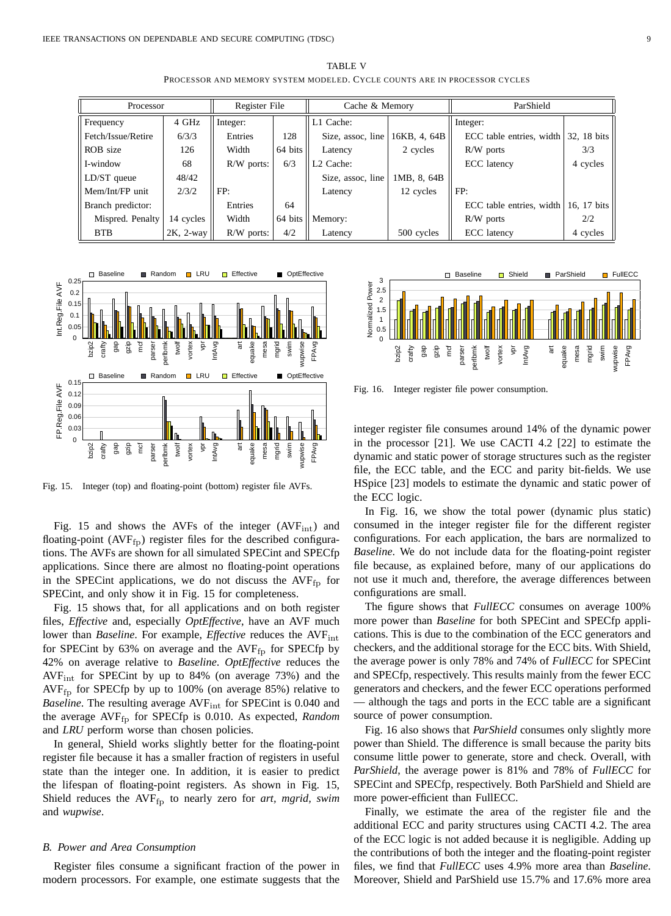| Processor          |                 | Register File |         | Cache & Memory        |              | ParShield                |             |
|--------------------|-----------------|---------------|---------|-----------------------|--------------|--------------------------|-------------|
| Frequency          | 4 GHz           | Integer:      |         | L1 Cache:             |              | Integer:                 |             |
| Fetch/Issue/Retire | 6/3/3           | Entries       | 128     | Size, assoc, line     | 16KB, 4, 64B | ECC table entries, width | 32, 18 bits |
| ROB size           | 126             | Width         | 64 bits | Latency               | 2 cycles     | $R/W$ ports              | 3/3         |
| I-window           | 68              | $R/W$ ports:  | 6/3     | L <sub>2</sub> Cache: |              | ECC latency              | 4 cycles    |
| LD/ST queue        | 48/42           |               |         | Size, assoc, line     | 1MB, 8, 64B  |                          |             |
| Mem/Int/FP unit    | 2/3/2           | FP:           |         | Latency               | 12 cycles    | FP:                      |             |
| Branch predictor:  |                 | Entries       | 64      |                       |              | ECC table entries, width | 16, 17 bits |
| Mispred. Penalty   | 14 cycles       | Width         | 64 bits | Memory:               |              | $R/W$ ports              | 2/2         |
| <b>BTB</b>         | $2K$ , $2$ -way | $R/W$ ports:  | 4/2     | Latency               | 500 cycles   | ECC latency              | 4 cycles    |

TABLE V PROCESSOR AND MEMORY SYSTEM MODELED. CYCLE COUNTS ARE IN PROCESSOR CYCLES



Fig. 15. Integer (top) and floating-point (bottom) register file AVFs.

Fig. 15 and shows the AVFs of the integer  $(AVF_{int})$  and floating-point  $(AVF_{fp})$  register files for the described configurations. The AVFs are shown for all simulated SPECint and SPECfp applications. Since there are almost no floating-point operations in the SPECint applications, we do not discuss the  $AVF_{fp}$  for SPECint, and only show it in Fig. 15 for completeness.

Fig. 15 shows that, for all applications and on both register files, *Effective* and, especially *OptEffective*, have an AVF much lower than *Baseline*. For example, *Effective* reduces the AVF<sub>int</sub> for SPECint by  $63\%$  on average and the AV $F_{fp}$  for SPECfp by 42% on average relative to *Baseline*. *OptEffective* reduces the AVFint for SPECint by up to 84% (on average 73%) and the  $AVF_{fp}$  for SPECfp by up to 100% (on average 85%) relative to *Baseline*. The resulting average AVF<sub>int</sub> for SPECint is 0.040 and the average AVF<sub>fp</sub> for SPECfp is 0.010. As expected, *Random* and *LRU* perform worse than chosen policies. **Example, The Continuous Continuous Continuous Continuous Continuous Continuous Continuous Continuous Crafts of the Biggs of the CC crafts of the properties of the biggs of the particle of the biggs of the biggs of the bi** 

In general, Shield works slightly better for the floating-point register file because it has a smaller fraction of registers in useful state than the integer one. In addition, it is easier to predict the lifespan of floating-point registers. As shown in Fig. 15, Shield reduces the AVF<sub>fp</sub> to nearly zero for *art, mgrid, swim* and *wupwise*.

#### *B. Power and Area Consumption*

Register files consume a significant fraction of the power in



Fig. 16. Integer register file power consumption.

integer register file consumes around 14% of the dynamic power in the processor [21]. We use CACTI 4.2 [22] to estimate the dynamic and static power of storage structures such as the register file, the ECC table, and the ECC and parity bit-fields. We use HSpice [23] models to estimate the dynamic and static power of the ECC logic.

In Fig. 16, we show the total power (dynamic plus static) consumed in the integer register file for the different register configurations. For each application, the bars are normalized to *Baseline*. We do not include data for the floating-point register file because, as explained before, many of our applications do not use it much and, therefore, the average differences between configurations are small.

The figure shows that *FullECC* consumes on average 100% more power than *Baseline* for both SPECint and SPECfp applications. This is due to the combination of the ECC generators and checkers, and the additional storage for the ECC bits. With Shield, the average power is only 78% and 74% of *FullECC* for SPECint and SPECfp, respectively. This results mainly from the fewer ECC generators and checkers, and the fewer ECC operations performed — although the tags and ports in the ECC table are a significant source of power consumption.

Fig. 16 also shows that *ParShield* consumes only slightly more power than Shield. The difference is small because the parity bits consume little power to generate, store and check. Overall, with *ParShield*, the average power is 81% and 78% of *FullECC* for SPECint and SPECfp, respectively. Both ParShield and Shield are more power-efficient than FullECC.

Finally, we estimate the area of the register file and the additional ECC and parity structures using CACTI 4.2. The area of the ECC logic is not added because it is negligible. Adding up the contributions of both the integer and the floating-point register files, we find that *FullECC* uses 4.9% more area than *Baseline*. Moreover, Shield and ParShield use 15.7% and 17.6% more area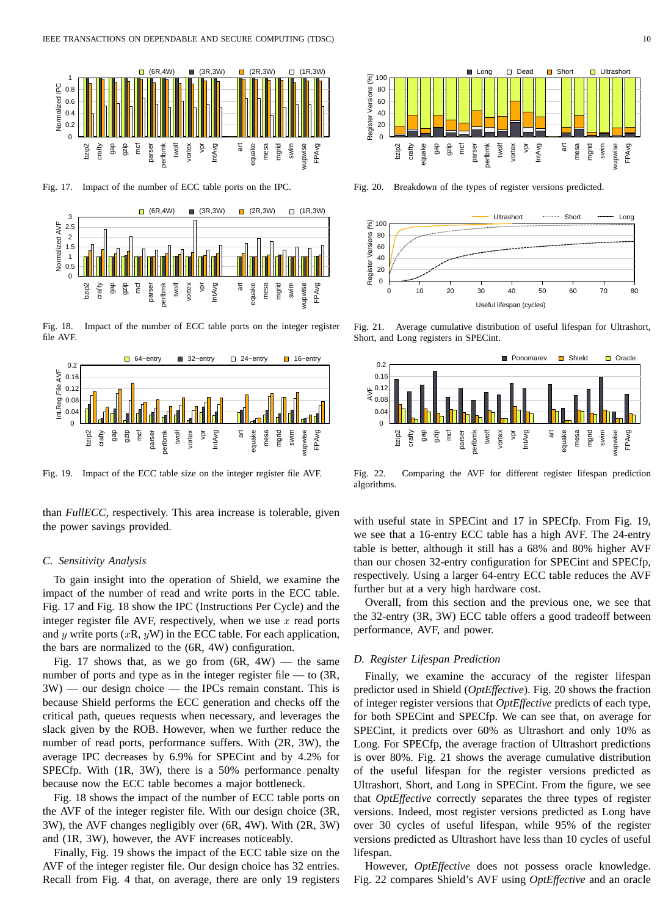

Fig. 17. Impact of the number of ECC table ports on the IPC.



Fig. 18. Impact of the number of ECC table ports on the integer register file AVF.



Fig. 19. Impact of the ECC table size on the integer register file AVF.

than *FullECC*, respectively. This area increase is tolerable, given the power savings provided.

# *C. Sensitivity Analysis*

To gain insight into the operation of Shield, we examine the impact of the number of read and write ports in the ECC table. Fig. 17 and Fig. 18 show the IPC (Instructions Per Cycle) and the integer register file AVF, respectively, when we use  $x$  read ports and y write ports  $(xR, yW)$  in the ECC table. For each application, the bars are normalized to the (6R, 4W) configuration.

Fig. 17 shows that, as we go from  $(6R, 4W)$  — the same number of ports and type as in the integer register file — to  $(3R, 1)$ 3W) — our design choice — the IPCs remain constant. This is because Shield performs the ECC generation and checks off the critical path, queues requests when necessary, and leverages the slack given by the ROB. However, when we further reduce the number of read ports, performance suffers. With (2R, 3W), the average IPC decreases by 6.9% for SPECint and by 4.2% for SPECfp. With (1R, 3W), there is a 50% performance penalty because now the ECC table becomes a major bottleneck. **EXECUTE AREA CONFIRMATION EXECUTE FROM FIG. THE CONFIRMATION EXECUTE AREA CONFIRMATION EXECUTE AREA CONFIRMATION EXECUTE AREA CONFIRMATION EXECUTE AREA CONFIRMATION EXECUTE AREA CONFIRMATION EXECUTE AREA CO** 

Fig. 18 shows the impact of the number of ECC table ports on the AVF of the integer register file. With our design choice (3R, 3W), the AVF changes negligibly over (6R, 4W). With (2R, 3W) and (1R, 3W), however, the AVF increases noticeably.

Finally, Fig. 19 shows the impact of the ECC table size on the AVF of the integer register file. Our design choice has 32 entries.



Fig. 20. Breakdown of the types of register versions predicted.



Fig. 21. Average cumulative distribution of useful lifespan for Ultrashort, Short, and Long registers in SPECint.



Fig. 22. Comparing the AVF for different register lifespan prediction algorithms.

with useful state in SPECint and 17 in SPECfp. From Fig. 19, we see that a 16-entry ECC table has a high AVF. The 24-entry table is better, although it still has a 68% and 80% higher AVF than our chosen 32-entry configuration for SPECint and SPECfp, respectively. Using a larger 64-entry ECC table reduces the AVF further but at a very high hardware cost.

Overall, from this section and the previous one, we see that the 32-entry (3R, 3W) ECC table offers a good tradeoff between performance, AVF, and power.

## *D. Register Lifespan Prediction*

Finally, we examine the accuracy of the register lifespan predictor used in Shield (*OptEffective*). Fig. 20 shows the fraction of integer register versions that *OptEffective* predicts of each type, for both SPECint and SPECfp. We can see that, on average for SPECint, it predicts over 60% as Ultrashort and only 10% as Long. For SPECfp, the average fraction of Ultrashort predictions is over 80%. Fig. 21 shows the average cumulative distribution of the useful lifespan for the register versions predicted as Ultrashort, Short, and Long in SPECint. From the figure, we see that *OptEffective* correctly separates the three types of register versions. Indeed, most register versions predicted as Long have over 30 cycles of useful lifespan, while 95% of the register versions predicted as Ultrashort have less than 10 cycles of useful lifespan.

However, *OptEffective* does not possess oracle knowledge. Fig. 22 compares Shield's AVF using *OptEffective* and an oracle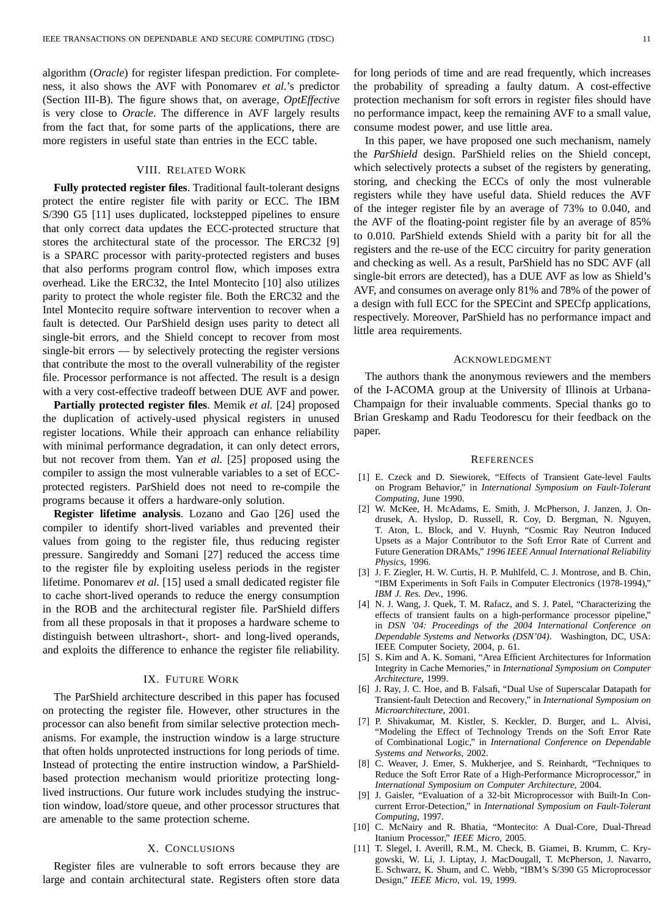algorithm (*Oracle*) for register lifespan prediction. For completeness, it also shows the AVF with Ponomarev *et al.*'s predictor (Section III-B). The figure shows that, on average, *OptEffective* is very close to *Oracle*. The difference in AVF largely results from the fact that, for some parts of the applications, there are more registers in useful state than entries in the ECC table.

# VIII. RELATED WORK

**Fully protected register files**. Traditional fault-tolerant designs protect the entire register file with parity or ECC. The IBM S/390 G5 [11] uses duplicated, lockstepped pipelines to ensure that only correct data updates the ECC-protected structure that stores the architectural state of the processor. The ERC32 [9] is a SPARC processor with parity-protected registers and buses that also performs program control flow, which imposes extra overhead. Like the ERC32, the Intel Montecito [10] also utilizes parity to protect the whole register file. Both the ERC32 and the Intel Montecito require software intervention to recover when a fault is detected. Our ParShield design uses parity to detect all single-bit errors, and the Shield concept to recover from most single-bit errors — by selectively protecting the register versions that contribute the most to the overall vulnerability of the register file. Processor performance is not affected. The result is a design with a very cost-effective tradeoff between DUE AVF and power.

**Partially protected register files**. Memik *et al.* [24] proposed the duplication of actively-used physical registers in unused register locations. While their approach can enhance reliability with minimal performance degradation, it can only detect errors, but not recover from them. Yan *et al.* [25] proposed using the compiler to assign the most vulnerable variables to a set of ECCprotected registers. ParShield does not need to re-compile the programs because it offers a hardware-only solution.

**Register lifetime analysis**. Lozano and Gao [26] used the compiler to identify short-lived variables and prevented their values from going to the register file, thus reducing register pressure. Sangireddy and Somani [27] reduced the access time to the register file by exploiting useless periods in the register lifetime. Ponomarev *et al.* [15] used a small dedicated register file to cache short-lived operands to reduce the energy consumption in the ROB and the architectural register file. ParShield differs from all these proposals in that it proposes a hardware scheme to distinguish between ultrashort-, short- and long-lived operands, and exploits the difference to enhance the register file reliability.

# IX. FUTURE WORK

The ParShield architecture described in this paper has focused on protecting the register file. However, other structures in the processor can also benefit from similar selective protection mechanisms. For example, the instruction window is a large structure that often holds unprotected instructions for long periods of time. Instead of protecting the entire instruction window, a ParShieldbased protection mechanism would prioritize protecting longlived instructions. Our future work includes studying the instruction window, load/store queue, and other processor structures that are amenable to the same protection scheme.

#### X. CONCLUSIONS

Register files are vulnerable to soft errors because they are large and contain architectural state. Registers often store data for long periods of time and are read frequently, which increases the probability of spreading a faulty datum. A cost-effective protection mechanism for soft errors in register files should have no performance impact, keep the remaining AVF to a small value, consume modest power, and use little area.

In this paper, we have proposed one such mechanism, namely the *ParShield* design. ParShield relies on the Shield concept, which selectively protects a subset of the registers by generating, storing, and checking the ECCs of only the most vulnerable registers while they have useful data. Shield reduces the AVF of the integer register file by an average of 73% to 0.040, and the AVF of the floating-point register file by an average of 85% to 0.010. ParShield extends Shield with a parity bit for all the registers and the re-use of the ECC circuitry for parity generation and checking as well. As a result, ParShield has no SDC AVF (all single-bit errors are detected), has a DUE AVF as low as Shield's AVF, and consumes on average only 81% and 78% of the power of a design with full ECC for the SPECint and SPECfp applications, respectively. Moreover, ParShield has no performance impact and little area requirements.

## ACKNOWLEDGMENT

The authors thank the anonymous reviewers and the members of the I-ACOMA group at the University of Illinois at Urbana-Champaign for their invaluable comments. Special thanks go to Brian Greskamp and Radu Teodorescu for their feedback on the paper.

#### **REFERENCES**

- [1] E. Czeck and D. Siewiorek, "Effects of Transient Gate-level Faults on Program Behavior," in *International Symposium on Fault-Tolerant Computing*, June 1990.
- [2] W. McKee, H. McAdams, E. Smith, J. McPherson, J. Janzen, J. Ondrusek, A. Hyslop, D. Russell, R. Coy, D. Bergman, N. Nguyen, T. Aton, L. Block, and V. Huynh, "Cosmic Ray Neutron Induced Upsets as a Major Contributor to the Soft Error Rate of Current and Future Generation DRAMs," *1996 IEEE Annual International Reliability Physics*, 1996.
- [3] J. F. Ziegler, H. W. Curtis, H. P. Muhlfeld, C. J. Montrose, and B. Chin, "IBM Experiments in Soft Fails in Computer Electronics (1978-1994)," *IBM J. Res. Dev.*, 1996.
- [4] N. J. Wang, J. Quek, T. M. Rafacz, and S. J. Patel, "Characterizing the effects of transient faults on a high-performance processor pipeline," in *DSN '04: Proceedings of the 2004 International Conference on Dependable Systems and Networks (DSN'04)*. Washington, DC, USA: IEEE Computer Society, 2004, p. 61.
- [5] S. Kim and A. K. Somani, "Area Efficient Architectures for Information Integrity in Cache Memories," in *International Symposium on Computer Architecture*, 1999.
- [6] J. Ray, J. C. Hoe, and B. Falsafi, "Dual Use of Superscalar Datapath for Transient-fault Detection and Recovery," in *International Symposium on Microarchitecture*, 2001.
- [7] P. Shivakumar, M. Kistler, S. Keckler, D. Burger, and L. Alvisi, "Modeling the Effect of Technology Trends on the Soft Error Rate of Combinational Logic," in *International Conference on Dependable Systems and Networks*, 2002.
- [8] C. Weaver, J. Emer, S. Mukherjee, and S. Reinhardt, "Techniques to Reduce the Soft Error Rate of a High-Performance Microprocessor," in *International Symposium on Computer Architecture*, 2004.
- [9] J. Gaisler, "Evaluation of a 32-bit Microprocessor with Built-In Concurrent Error-Detection," in *International Symposium on Fault-Tolerant Computing*, 1997.
- [10] C. McNairy and R. Bhatia, "Montecito: A Dual-Core, Dual-Thread Itanium Processor," *IEEE Micro*, 2005.
- [11] T. Slegel, I. Averill, R.M., M. Check, B. Giamei, B. Krumm, C. Krygowski, W. Li, J. Liptay, J. MacDougall, T. McPherson, J. Navarro, E. Schwarz, K. Shum, and C. Webb, "IBM's S/390 G5 Microprocessor Design," *IEEE Micro*, vol. 19, 1999.